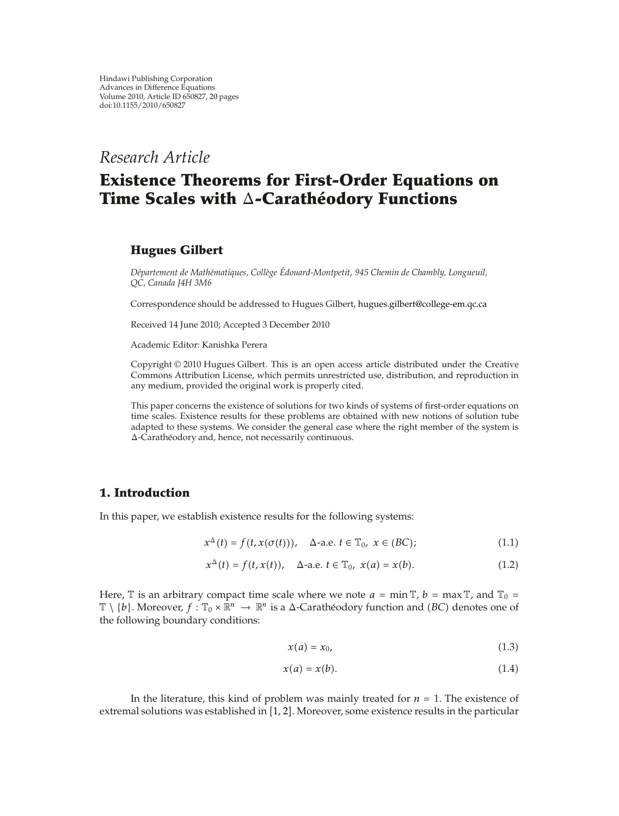## *Research Article*

# **Existence Theorems for First-Order Equations on Time Scales with Δ-Carathéodory Functions**

## **Hugues Gilbert**

*Departement de Math ´ ematiques, Coll ´ ege ` Edouard-Montpetit, 945 Chemin de Chambly, Longueuil, ´ QC, Canada J4H 3M6*

Correspondence should be addressed to Hugues Gilbert, hugues.gilbert@college-em.qc.ca

Received 14 June 2010; Accepted 3 December 2010

Academic Editor: Kanishka Perera

Copyright © 2010 Hugues Gilbert. This is an open access article distributed under the Creative Commons Attribution License, which permits unrestricted use, distribution, and reproduction in any medium, provided the original work is properly cited.

This paper concerns the existence of solutions for two kinds of systems of first-order equations on time scales. Existence results for these problems are obtained with new notions of solution tube adapted to these systems. We consider the general case where the right member of the system is Δ-Caratheodory and, hence, not necessarily continuous. ´

## **1. Introduction**

In this paper, we establish existence results for the following systems:

$$
x^{\Delta}(t) = f(t, x(\sigma(t))), \quad \Delta\text{-a.e. } t \in \mathbb{T}_0, \ x \in (BC); \tag{1.1}
$$

$$
x^{\Delta}(t) = f(t, x(t)), \quad \Delta\text{-a.e. } t \in \mathbb{T}_0, \ x(a) = x(b). \tag{1.2}
$$

Here,  $\mathbb T$  is an arbitrary compact time scale where we note  $a = \min \mathbb T$ ,  $b = \max \mathbb T$ , and  $\mathbb T_0 =$  $\mathbb{T}\setminus\{b\}$ . Moreover,  $f: \mathbb{T}_0\times\mathbb{R}^n\to\mathbb{R}^n$  is a  $\Delta$ -Carathéodory function and  $(BC)$  denotes one of the following boundary conditions:

$$
x(a) = x_0,\tag{1.3}
$$

$$
x(a) = x(b). \tag{1.4}
$$

In the literature, this kind of problem was mainly treated for  $n = 1$ . The existence of extremal solutions was established in  $[1, 2]$ . Moreover, some existence results in the particular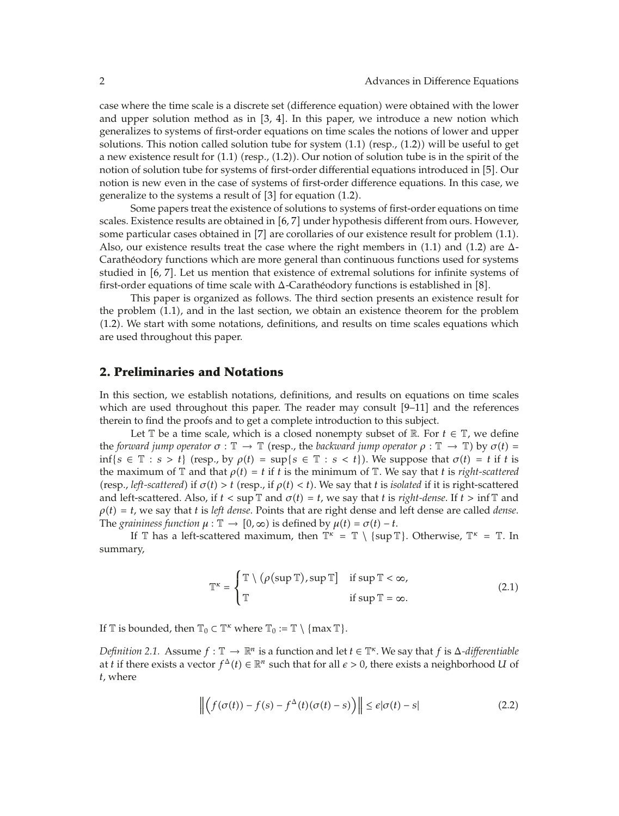case where the time scale is a discrete set difference equation were obtained with the lower and upper solution method as in  $[3, 4]$ . In this paper, we introduce a new notion which generalizes to systems of first-order equations on time scales the notions of lower and upper solutions. This notion called solution tube for system  $(1.1)$  (resp.,  $(1.2)$ ) will be useful to get a new existence result for  $(1.1)$  (resp.,  $(1.2)$ ). Our notion of solution tube is in the spirit of the notion of solution tube for systems of first-order differential equations introduced in [5]. Our notion is new even in the case of systems of first-order difference equations. In this case, we generalize to the systems a result of  $[3]$  for equation  $(1.2)$ .

Some papers treat the existence of solutions to systems of first-order equations on time scales. Existence results are obtained in [6, 7] under hypothesis different from ours. However, some particular cases obtained in  $[7]$  are corollaries of our existence result for problem  $(1.1)$ . Also, our existence results treat the case where the right members in  $(1.1)$  and  $(1.2)$  are  $\Delta$ -Caratheodory functions which are more general than continuous functions used for systems ´ studied in [6, 7]. Let us mention that existence of extremal solutions for infinite systems of first-order equations of time scale with  $\Delta$ -Caratheodory functions is established in [8].

This paper is organized as follows. The third section presents an existence result for the problem  $(1.1)$ , and in the last section, we obtain an existence theorem for the problem 1.2. We start with some notations, definitions, and results on time scales equations which are used throughout this paper.

#### **2. Preliminaries and Notations**

In this section, we establish notations, definitions, and results on equations on time scales which are used throughout this paper. The reader may consult  $[9-11]$  and the references therein to find the proofs and to get a complete introduction to this subject.

Let  $\mathbb T$  be a time scale, which is a closed nonempty subset of  $\mathbb R$ . For  $t \in \mathbb T$ , we define the *forward jump operator*  $\sigma : \mathbb{T} \to \mathbb{T}$  (resp., the *backward jump operator*  $\rho : \mathbb{T} \to \mathbb{T}$ ) by  $\sigma(t) =$  $\inf\{s \in \mathbb{T} : s > t\}$  (resp., by  $\rho(t) = \sup\{s \in \mathbb{T} : s < t\}$ ). We suppose that  $\sigma(t) = t$  if t is the maximum of  $\mathbb{T}$  and that  $\rho(t) = t$  if *t* is the minimum of  $\mathbb{T}$ . We say that *t* is *right-scattered*  $r$ (resp., *left-scattered*) if  $\sigma(t) > t$  (resp., if  $\rho(t) < t$ ). We say that *t* is *isolated* if it is right-scattered and left-scattered. Also, if  $t < \sup \mathbb{T}$  and  $\sigma(t) = t$ , we say that *t* is *right-dense*. If  $t > \inf \mathbb{T}$  and  $\rho(t) = t$ , we say that *t* is *left dense*. Points that are right dense and left dense are called *dense*. The *graininess function*  $\mu : \mathbb{T} \to [0, \infty)$  is defined by  $\mu(t) = \sigma(t) - t$ .

If  $\mathbb T$  has a left-scattered maximum, then  $\mathbb T^k = \mathbb T \setminus \{ \sup \mathbb T \}$ . Otherwise,  $\mathbb T^k = \mathbb T$ . In summary,

$$
\mathbb{T}^{\kappa} = \begin{cases} \mathbb{T} \setminus (\rho(\sup \mathbb{T}), \sup \mathbb{T}] & \text{if } \sup \mathbb{T} < \infty, \\ \mathbb{T} & \text{if } \sup \mathbb{T} = \infty. \end{cases}
$$
 (2.1)

If  $\mathbb T$  is bounded, then  $\mathbb T_0 \subset \mathbb T^k$  where  $\mathbb T_0 := \mathbb T \setminus \{ \max \mathbb T \}.$ 

*Definition 2.1.* Assume  $f : \mathbb{T} \to \mathbb{R}^n$  is a function and let  $t \in \mathbb{T}^k$ . We say that  $f$  is  $\Delta$ -differentiable at *t* if there exists a vector  $f^{\Delta}(t) \in \mathbb{R}^n$  such that for all  $\epsilon > 0$ , there exists a neighborhood *U* of *t*, where

$$
\left\| \left( f(\sigma(t)) - f(s) - f^{\Delta}(t) (\sigma(t) - s) \right) \right\| \le \epsilon |\sigma(t) - s| \tag{2.2}
$$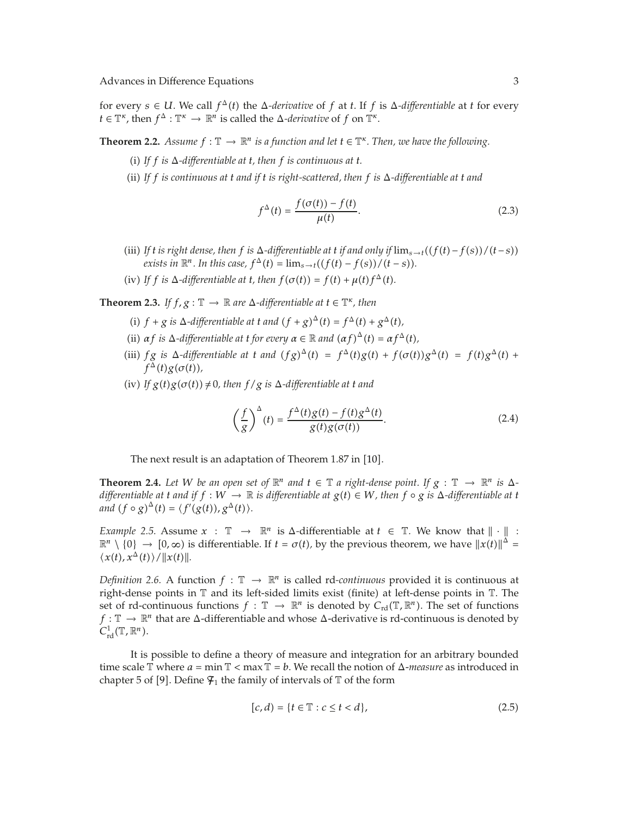for every  $s \in U$ . We call  $f^{\Delta}(t)$  the  $\Delta$ *-derivative* of f at t. If f is  $\Delta$ *-differentiable* at t for every *t*  $\in \mathbb{T}^{\kappa}$ , then  $f^{\Delta}: \mathbb{T}^{\kappa} \to \mathbb{R}^{n}$  is called the  $\Delta$ *-derivative* of *f* on  $\mathbb{T}^{\kappa}$ .

**Theorem 2.2.** *Assume*  $f : \mathbb{T} \to \mathbb{R}^n$  *is a function and let*  $t \in \mathbb{T}^{\kappa}$ *. Then, we have the following.* 

- (i) If  $f$  is  $\Delta$ -differentiable at  $t$ , then  $f$  is continuous at  $t$ .
- ii *If f is continuous at t and if t is right-scattered, then f is* Δ*-differentiable at t and*

$$
f^{\Delta}(t) = \frac{f(\sigma(t)) - f(t)}{\mu(t)}.
$$
 (2.3)

- $\int$ *(iii) If t is right dense, then f is*  $\Delta$ -*differentiable at t if and only if*  $\lim_{s \to t}$  $\left(\frac{f(t) f(s)}{t s}\right)$  $exists$  in  $\mathbb{R}^n$ . In this case,  $f^{\Delta}(t) = \lim_{s \to t} ((f(t) - f(s))/(t - s)).$
- (iv) If *f* is  $\Delta$ -differentiable at *t*, then  $f(\sigma(t)) = f(t) + \mu(t) f^{\Delta}(t)$ .

**Theorem 2.3.** *If*  $f$ ,  $g : \mathbb{T} \to \mathbb{R}$  are  $\Delta$ -differentiable at  $t \in \mathbb{T}^{\kappa}$ , then

- (i)  $f + g$  is  $\Delta$ -differentiable at *t* and  $(f + g)^{\Delta}(t) = f^{\Delta}(t) + g^{\Delta}(t)$ ,
- (ii)  $\alpha f$  *is*  $\Delta$ -differentiable at *t* for every  $\alpha \in \mathbb{R}$  and  $(\alpha f)^{\Delta}(t) = \alpha f^{\Delta}(t)$ ,
- (iii) *fg is*  $\Delta$ -differentiable at *t* and  $(fg)^{\Delta}(t) = f^{\Delta}(t)g(t) + f(\sigma(t))g^{\Delta}(t) = f(t)g^{\Delta}(t) + f(\sigma(t))g^{\Delta}(t)$  $f^{\Delta}(t)g(\sigma(t)),$
- $\int$  *(iv) If*  $g(t)g(\sigma(t)) \neq 0$ , then  $f/g$  *is*  $\Delta$ -differentiable at *t* and

$$
\left(\frac{f}{g}\right)^{\Delta}(t) = \frac{f^{\Delta}(t)g(t) - f(t)g^{\Delta}(t)}{g(t)g(\sigma(t))}.
$$
\n(2.4)

The next result is an adaptation of Theorem 1.87 in [10].

**Theorem 2.4.** Let W be an open set of  $\mathbb{R}^n$  and  $t \in \mathbb{T}$  a right-dense point. If  $g : \mathbb{T} \to \mathbb{R}^n$  is  $\Delta$ differentiable at t and if  $f:W\to\mathbb{R}$  is differentiable at  $g(t)\in W$ , then  $f\circ g$  is  $\Delta$ -differentiable at t *and*  $(f \circ g)^{\Delta}(t) = \langle f'(g(t)), g^{\Delta}(t) \rangle$ .

*Example 2.5.* Assume  $x : \mathbb{T} \rightarrow \mathbb{R}^n$  is  $\Delta$ -differentiable at  $t \in \mathbb{T}$ . We know that  $\|\cdot\|$  $\mathbb{R}^n \setminus \{0\} \to [0, \infty)$  is differentiable. If  $t = \sigma(t)$ , by the previous theorem, we have  $||x(t)||^{\Delta} =$  $\langle x(t), x^{\Delta}(t) \rangle$  /  $||x(t)||$ .

*Definition 2.6.* A function  $f : \mathbb{T} \to \mathbb{R}^n$  is called rd-*continuous* provided it is continuous at right-dense points in  $\mathbb T$  and its left-sided limits exist (finite) at left-dense points in  $\mathbb T$ . The set of rd-continuous functions  $f: \mathbb{T} \to \mathbb{R}^n$  is denoted by  $C_{rd}(\mathbb{T}, \mathbb{R}^n)$ . The set of functions  $f: \mathbb{T} \to \mathbb{R}^n$  that are  $\Delta$ -differentiable and whose  $\Delta$ -derivative is rd-continuous is denoted by  $C^1_{\rm rd}(\mathbb{T}, \mathbb{R}^n)$ .

It is possible to define a theory of measure and integration for an arbitrary bounded time scale  $\mathbb T$  where  $a = \min \mathbb T < \max \mathbb T = b$ . We recall the notion of  $\Delta$ -measure as introduced in chapter 5 of [9]. Define  $\mathcal{F}_1$  the family of intervals of  $\mathbb T$  of the form

$$
[c,d) = \{t \in \mathbb{T} : c \le t < d\},\tag{2.5}
$$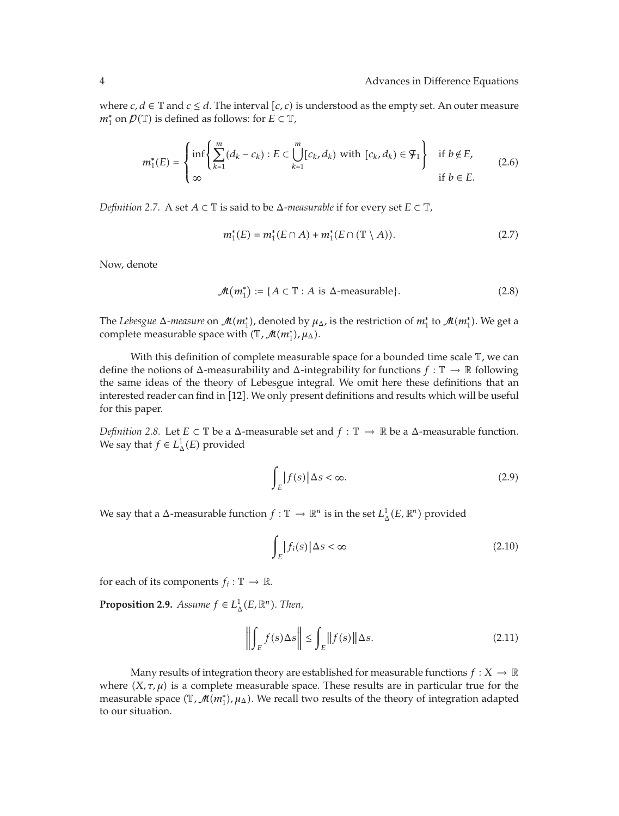where *c*, *d* ∈  $\mathbb{T}$  and *c*  $\le$  *d*. The interval [*c*, *c*) is understood as the empty set. An outer measure  $m_1^*$  on  $\mathcal{D}(\mathbb{T})$  is defined as follows: for  $E \subset \mathbb{T}$ ,

$$
m_1^*(E) = \begin{cases} \inf \left\{ \sum_{k=1}^m (d_k - c_k) : E \subset \bigcup_{k=1}^m [c_k, d_k) \text{ with } [c_k, d_k) \in \mathcal{F}_1 \right\} & \text{if } b \notin E, \\ \infty & \text{if } b \in E. \end{cases} \tag{2.6}
$$

*Definition 2.7.* A set  $A \subset \mathbb{T}$  is said to be  $\Delta$ -measurable if for every set  $E \subset \mathbb{T}$ ,

$$
m_1^*(E) = m_1^*(E \cap A) + m_1^*(E \cap (\mathbb{T} \setminus A)). \tag{2.7}
$$

Now, denote

$$
\mathcal{M}(m_1^*) := \{ A \subset \mathbb{T} : A \text{ is } \Delta\text{-measurable} \}. \tag{2.8}
$$

The *Lebesgue*  $\Delta$ *-measure* on  $\mathcal{M}(m_1^*)$ , denoted by  $\mu_\Delta$ , is the restriction of  $m_1^*$  to  $\mathcal{M}(m_1^*)$ . We get a complete measurable space with  $(\mathbb{T},\mathcal{M}(m_1^*),\mu_{\Delta})$ .

With this definition of complete measurable space for a bounded time scale  $\mathbb T$ , we can define the notions of  $\Delta$ -measurability and  $\Delta$ -integrability for functions  $f : \mathbb{T} \to \mathbb{R}$  following the same ideas of the theory of Lebesgue integral. We omit here these definitions that an interested reader can find in [12]. We only present definitions and results which will be useful for this paper.

*Definition 2.8.* Let *E*  $\subset$  T be a  $\Delta$ -measurable set and  $f : \mathbb{T} \to \mathbb{R}$  be a  $\Delta$ -measurable function. We say that  $f \in L^1_{\Delta}(E)$  provided

$$
\int_{E} |f(s)| \Delta s < \infty. \tag{2.9}
$$

We say that a Δ-measurable function  $f: \mathbb{T} \to \mathbb{R}^n$  is in the set  $L^1_\Delta(E,\mathbb{R}^n)$  provided

$$
\int_{E} |f_i(s)| \Delta s < \infty \tag{2.10}
$$

for each of its components  $f_i: \mathbb{T} \to \mathbb{R}$ .

**Proposition 2.9.** *Assume*  $f \in L^1_\Delta(E, \mathbb{R}^n)$ *. Then,* 

$$
\left\| \int_{E} f(s) \Delta s \right\| \le \int_{E} \left\| f(s) \right\| \Delta s. \tag{2.11}
$$

Many results of integration theory are established for measurable functions  $f: X \to \mathbb{R}$ where  $(X, \tau, \mu)$  is a complete measurable space. These results are in particular true for the measurable space (T, M(m<sup>∗</sup><sub>1</sub>), μ<sub>Δ</sub>). We recall two results of the theory of integration adapted to our situation.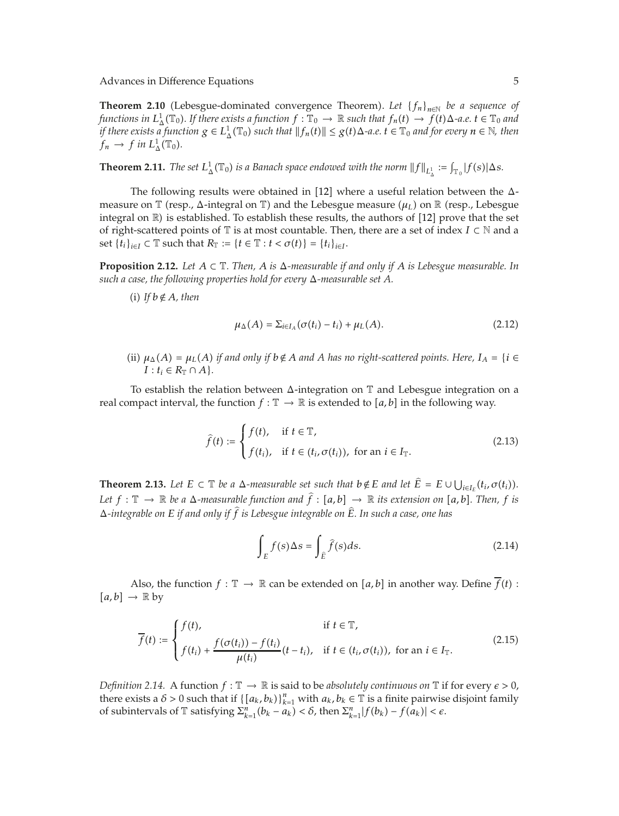**Theorem 2.10** (Lebesgue-dominated convergence Theorem). Let  ${f_n}_{n \in \mathbb{N}}$  be a sequence of  $f$ unctions in  $L^1_\Delta(\mathbb{T}_0)$ . If there exists a function  $f:\mathbb{T}_0\to\mathbb{R}$  such that  $f_n(t)\to f(t)\Delta$ -a.e.  $t\in\mathbb{T}_0$  and *if there exists a function*  $g \in L^1_\Delta(\mathbb{T}_0)$  such that  $||f_n(t)|| \leq g(t) \Delta$ -a.e.  $t \in \mathbb{T}_0$  and for every  $n \in \mathbb{N}$ , then  $f_n \to f$  *in*  $L^1_\Delta(\mathbb{T}_0)$ .

**Theorem 2.11.** *The set*  $L^1_\Delta(\mathbb{T}_0)$  *is a Banach space endowed with the norm*  $||f||_{L^1_\Delta} := \int_{\mathbb{T}_0} |f(s)| \Delta s$ .

The following results were obtained in [12] where a useful relation between the  $\Delta$ measure on T (resp., Δ-integral on T) and the Lebesgue measure (μ<sub>L</sub>) on ℝ (resp., Lebesgue integral on  $\mathbb R$ ) is established. To establish these results, the authors of [12] prove that the set of right-scattered points of  $\mathbb T$  is at most countable. Then, there are a set of index  $I\subset\mathbb N$  and a set  $\{t_i\}_{i\in I} \subset \mathbb{T}$  such that  $R_{\mathbb{T}} := \{t \in \mathbb{T} : t < \sigma(t)\} = \{t_i\}_{i\in I}$ .

**Proposition 2.12.** *Let*  $A \subset \mathbb{T}$ *. Then,*  $A$  *is*  $\Delta$ *-measurable if and only if*  $A$  *is Lebesgue measurable. In such a case, the following properties hold for every* Δ*-measurable set A.*

 $(i)$  *If*  $b \notin A$ *, then* 

$$
\mu_{\Delta}(A) = \sum_{i \in I_A} (\sigma(t_i) - t_i) + \mu_L(A). \tag{2.12}
$$

(ii)  $\mu_{\Delta}(A) = \mu_L(A)$  *if and only if*  $b \notin A$  *and A has no right-scattered points. Here,*  $I_A = \{i \in A\}$  $I: t_i \in R_{\mathbb{T}} \cap A$ .

To establish the relation between  $\Delta$ -integration on  $\mathbb T$  and Lebesgue integration on a real compact interval, the function  $f: \mathbb{T} \to \mathbb{R}$  is extended to  $[a, b]$  in the following way.

$$
\hat{f}(t) := \begin{cases} f(t), & \text{if } t \in \mathbb{T}, \\ f(t_i), & \text{if } t \in (t_i, \sigma(t_i)), \text{ for an } i \in I_{\mathbb{T}}. \end{cases}
$$
\n(2.13)

**Theorem 2.13.** Let  $E \subset \mathbb{T}$  be a  $\Delta$ -measurable set such that  $b \notin E$  and let  $E = E \cup \bigcup_{i \in I_E} (t_i, \sigma(t_i)).$ *Let*  $f: \mathbb{T} \to \mathbb{R}$  *be a*  $\Delta$ *-measurable function and*  $f: [a,b] \to \mathbb{R}$  *its extension on*  $[a,b]$ *. Then,*  $f$  *is* <sup>Δ</sup>*-integrable on <sup>E</sup> if and only if <sup>f</sup> is Lebesgue integrable on <sup>E</sup>. In such a case, one has*

$$
\int_{E} f(s) \Delta s = \int_{\hat{E}} \hat{f}(s) ds.
$$
\n(2.14)

Also, the function  $f : \mathbb{T} \to \mathbb{R}$  can be extended on  $[a, b]$  in another way. Define  $f(t)$ :  $[a, b] \rightarrow \mathbb{R}$  by

$$
\overline{f}(t) := \begin{cases} f(t), & \text{if } t \in \mathbb{T}, \\ f(t_i) + \frac{f(\sigma(t_i)) - f(t_i)}{\mu(t_i)} (t - t_i), & \text{if } t \in (t_i, \sigma(t_i)), \text{ for an } i \in I_{\mathbb{T}}. \end{cases}
$$
\n(2.15)

*Definition 2.14.* A function  $f : \mathbb{T} \to \mathbb{R}$  is said to be *absolutely continuous on*  $\mathbb{T}$  if for every  $\epsilon > 0$ , there exists a  $\delta > 0$  such that if  $\{[a_k, b_k]\}_{k=1}^n$  with  $a_k, b_k \in \mathbb{T}$  is a finite pairwise disjoint family of subintervals of  $\mathbb{T}$  satisfying  $\sum_{k=1}^{n} (b_k - a_k) < \delta$ , then  $\sum_{k=1}^{n} |f(b_k) - f(a_k)| < \epsilon$ .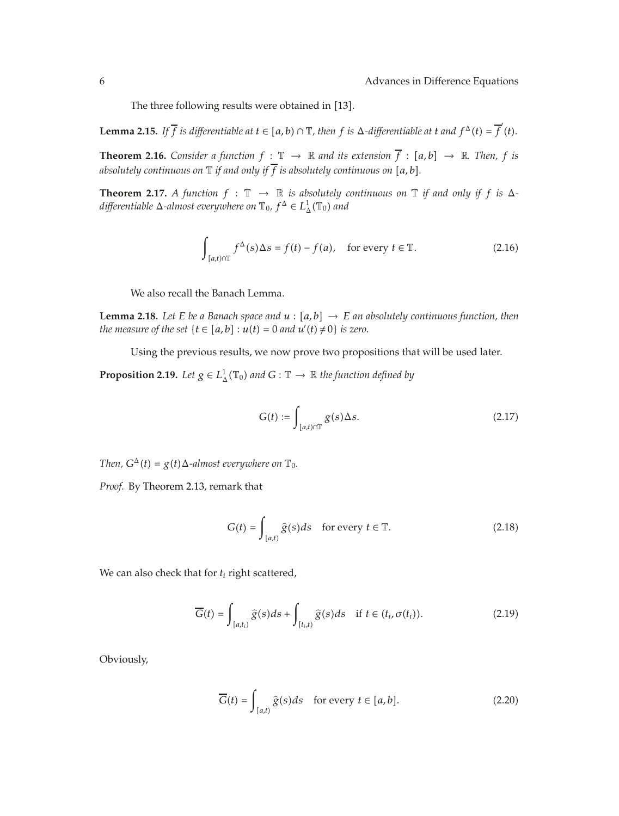The three following results were obtained in [13].

**Lemma 2.15.** If  $\overline{f}$  is differentiable at  $t \in [a, b) \cap \mathbb{T}$ , then f is  $\Delta$ -differentiable at t and  $f^{\Delta}(t) = \overline{f}'(t)$ .

**Theorem 2.16.** *Consider a function*  $f : \mathbb{T} \to \mathbb{R}$  *and its extension*  $f : [a, b] \to \mathbb{R}$ . *Then,*  $f$  *is absolutely continuous on*  $\mathbb T$  *if and only if*  $\overline{f}$  *is absolutely continuous on* [*a*, *b*].

**Theorem 2.17.** *A function*  $f : \mathbb{T} \to \mathbb{R}$  *is absolutely continuous on*  $\mathbb{T}$  *if and only if*  $f$  *is*  $\Delta$  $d$ *ifferentiable*  $\Delta$ -almost everywhere on  $\mathbb{T}_0$ ,  $f^{\Delta} \in L^1_{\Delta}(\mathbb{T}_0)$  and

$$
\int_{[a,t)\cap\mathbb{T}} f^{\Delta}(s) \Delta s = f(t) - f(a), \quad \text{for every } t \in \mathbb{T}.
$$
 (2.16)

We also recall the Banach Lemma.

**Lemma 2.18.** *Let E be a Banach space and*  $u : [a, b] \rightarrow E$  *an absolutely continuous function, then the measure of the set*  $\{t \in [a, b] : u(t) = 0 \text{ and } u'(t) \neq 0\}$  *is zero.* 

Using the previous results, we now prove two propositions that will be used later.

**Proposition 2.19.** *Let*  $g \in L^1_\Delta(\mathbb{T}_0)$  *and*  $G : \mathbb{T} \to \mathbb{R}$  *the function defined by* 

$$
G(t) := \int_{[a,t)\cap T} g(s) \Delta s. \tag{2.17}
$$

*Then,*  $G^{\Delta}(t) = g(t) \Delta$ -almost everywhere on  $\mathbb{T}_0$ .

*Proof.* By Theorem 2.13, remark that

$$
G(t) = \int_{[a,t)} \hat{g}(s)ds \quad \text{for every } t \in \mathbb{T}.\tag{2.18}
$$

We can also check that for *ti* right scattered,

$$
\overline{G}(t) = \int_{[a,t_i)} \widehat{g}(s)ds + \int_{[t_i,t)} \widehat{g}(s)ds \quad \text{if } t \in (t_i, \sigma(t_i)).
$$
\n(2.19)

Obviously,

$$
\overline{G}(t) = \int_{[a,t)} \hat{g}(s)ds \quad \text{for every } t \in [a,b]. \tag{2.20}
$$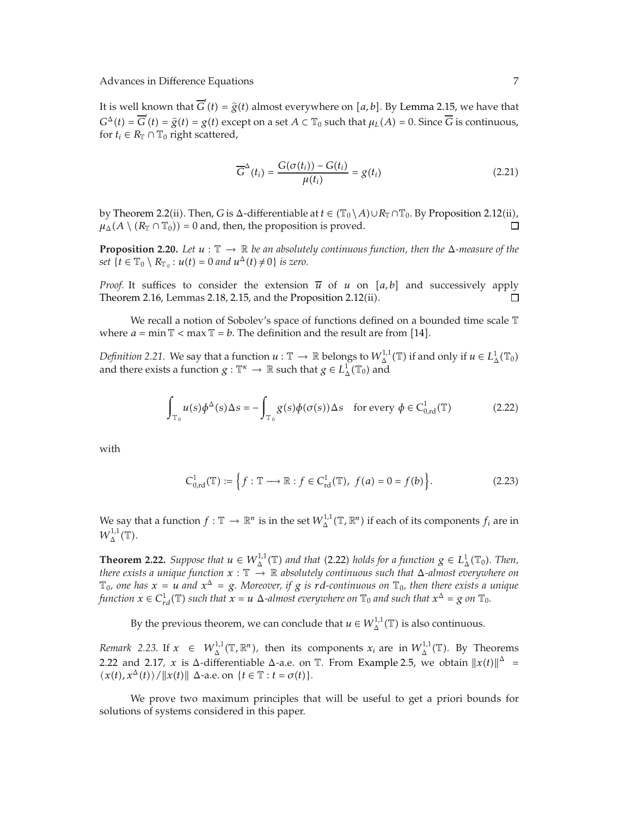It is well known that  $\overline{G}'(t) = \hat{g}(t)$  almost everywhere on [a, b]. By Lemma 2.15, we have that  $G^{\Delta}(t) = \overline{G}'(t) = \hat{g}(t) = g(t)$  except on a set  $A \subset \mathbb{T}_0$  such that  $\mu_L(A) = 0$ . Since  $\overline{G}$  is continuous, for  $t \in R_{\mathbb{T}} \cap \mathbb{T}_0$  right scattered for  $t_i \in R_{\mathbb{T}} \cap \mathbb{T}_0$  right scattered,

$$
\overline{G}^{\Delta}(t_i) = \frac{G(\sigma(t_i)) - G(t_i)}{\mu(t_i)} = g(t_i)
$$
\n(2.21)

by Theorem 2.2(ii). Then, *G* is  $\Delta$ -differentiable at  $t \in (\mathbb{T}_0 \setminus A) \cup R_{\mathbb{T}} \cap \mathbb{T}_0$ . By Proposition 2.12(ii),  $\mu_{\Delta}(A \setminus (R_{\mathbb{T}} \cap \mathbb{T}_0)) = 0$  and, then, the proposition is proved.

**Proposition 2.20.** Let  $u : \mathbb{T} \to \mathbb{R}$  be an absolutely continuous function, then the  $\Delta$ -measure of the  $set\{t \in \mathbb{T}_0 \setminus R_{\mathbb{T}_0} : u(t) = 0 \text{ and } u^{\Delta}(t) \neq 0\} \text{ is zero.}$ 

*Proof.* It suffices to consider the extension  $\overline{u}$  of *u* on [*a, b*] and successively apply Theorem 2.16, Lemmas 2.18, 2.15, and the Proposition 2.12 $(ii)$ .  $\Box$ 

We recall a notion of Sobolev's space of functions defined on a bounded time scale  $\mathbb T$ where  $a = \min \mathbb{T} < \max \mathbb{T} = b$ . The definition and the result are from [14].

*Definition 2.21.* We say that a function  $u : \mathbb{T} \to \mathbb{R}$  belongs to  $W_\Delta^{1,1}(\mathbb{T})$  if and only if  $u \in L_\Delta^1(\mathbb{T}_0)$ and there exists a function  $g: \mathbb{T}^{\kappa} \to \mathbb{R}$  such that  $g \in L^1_{\Delta}(\mathbb{T}_0)$  and

$$
\int_{\mathbb{T}_0} u(s) \phi^{\Delta}(s) \Delta s = -\int_{\mathbb{T}_0} g(s) \phi(\sigma(s)) \Delta s \quad \text{for every } \phi \in C^1_{0,rd}(\mathbb{T})
$$
\n(2.22)

with

$$
C_{0,\mathrm{rd}}^1(\mathbb{T}) := \left\{ f : \mathbb{T} \longrightarrow \mathbb{R} : f \in C_{\mathrm{rd}}^1(\mathbb{T}), \ f(a) = 0 = f(b) \right\}.
$$
 (2.23)

We say that a function  $f: \mathbb{T} \to \mathbb{R}^n$  is in the set  $W^{1,1}_\Delta(\mathbb{T}, \mathbb{R}^n)$  if each of its components  $f_i$  are in  $W^{1,1}_\Delta(\mathbb{T}).$ 

**Theorem 2.22.** *Suppose that*  $u \in W_{\Delta}^{1,1}(\mathbb{T})$  *and that* (2.22) *holds for a function*  $g \in L_{\Delta}^{1}(\mathbb{T}_{0})$ *. Then,*  $t$ here exists a unique function  $x:\mathbb{T}\to\mathbb{R}$  absolutely continuous such that  $\Delta$ -almost everywhere on  $\mathbb{T}_0$ , one has  $x = u$  and  $x^{\Delta} = g$ . Moreover, if g is rd-continuous on  $\mathbb{T}_0$ , then there exists a unique *function*  $x \in C_{rd}^1(\mathbb{T})$  such that  $x = u$   $\Delta$ -almost everywhere on  $\mathbb{T}_0$  and such that  $x^{\Delta} = g$  on  $\mathbb{T}_0$ .

By the previous theorem, we can conclude that  $u \in W_{\Delta}^{1,1}(\mathbb{T})$  is also continuous.

*Remark* 2.23. If  $x \in W_{\Delta}^{1,1}(\mathbb{T}, \mathbb{R}^n)$ , then its components  $x_i$  are in  $W_{\Delta}^{1,1}(\mathbb{T})$ . By Theorems 2.22 and 2.17, *x* is  $\Delta$ -differentiable  $\Delta$ -a.e. on  $\mathbb{T}$ . From Example 2.5, we obtain  $||x(t)||^{\Delta} =$  $\langle x(t), x^{\Delta}(t) \rangle / \|x(t)\| \Delta$ -a.e. on  $\{t \in \mathbb{T} : t = \sigma(t)\}.$ 

We prove two maximum principles that will be useful to get a priori bounds for solutions of systems considered in this paper.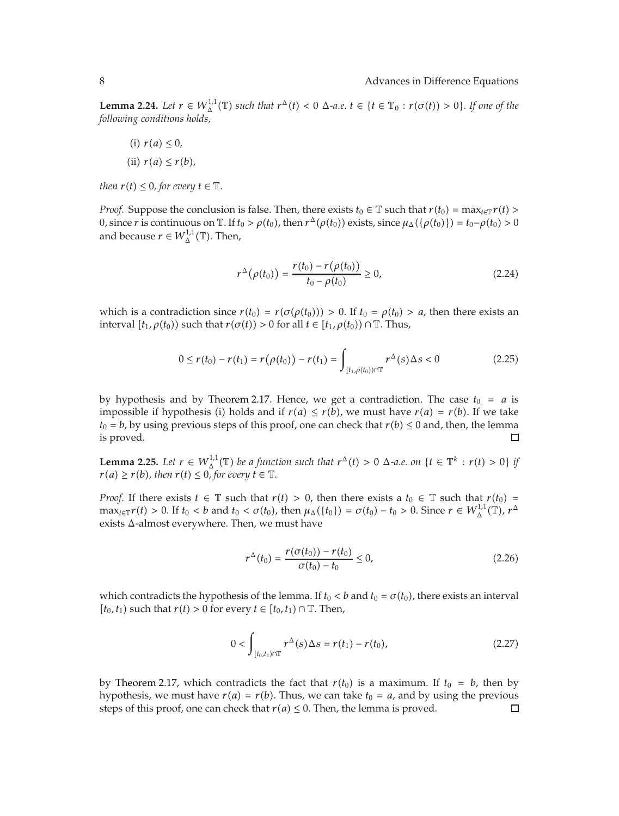**Lemma 2.24.** Let  $r \in W_{\Delta}^{1,1}(\mathbb{T})$  such that  $r^{\Delta}(t) < 0$   $\Delta$ -a.e.  $t \in \{t \in \mathbb{T}_0 : r(\sigma(t)) > 0\}$ . If one of the *following conditions holds,*

 $f(i)$   $r(a) \leq 0$ ,  $\pi$ *(ii)*  $r(a) \leq r(b)$ ,

*then*  $r(t) \leq 0$ *, for every*  $t \in \mathbb{T}$ *.* 

*Proof.* Suppose the conclusion is false. Then, there exists  $t_0 \in \mathbb{T}$  such that  $r(t_0) = \max_{t \in \mathbb{T}} r(t)$ 0, since *r* is continuous on  $\mathbb{T}$ . If  $t_0 > \rho(t_0)$ , then  $r^{\Delta}(\rho(t_0))$  exists, since  $\mu_{\Delta}(\{\rho(t_0)\}) = t_0 - \rho(t_0) > 0$ and because  $r \in W^{1,1}_{\Delta}(\mathbb{T})$ . Then,

$$
r^{\Delta}(\rho(t_0)) = \frac{r(t_0) - r(\rho(t_0))}{t_0 - \rho(t_0)} \ge 0,
$$
\n(2.24)

which is a contradiction since  $r(t_0) = r(\sigma(\rho(t_0))) > 0$ . If  $t_0 = \rho(t_0) > a$ , then there exists an interval  $[t_1, \rho(t_0))$  such that  $r(\sigma(t)) > 0$  for all  $t \in [t_1, \rho(t_0)) \cap \mathbb{T}$ . Thus,

$$
0 \le r(t_0) - r(t_1) = r(\rho(t_0)) - r(t_1) = \int_{[t_1, \rho(t_0)) \cap \mathbb{T}} r^{\Delta}(s) \Delta s < 0 \qquad (2.25)
$$

by hypothesis and by Theorem 2.17. Hence, we get a contradiction. The case  $t_0 = a$  is impossible if hypothesis (i) holds and if  $r(a) \leq r(b)$ , we must have  $r(a) = r(b)$ . If we take *t*<sub>0</sub> = *b*, by using previous steps of this proof, one can check that *r(b)*  $\leq$  0 and, then, the lemma is proved. is proved.

**Lemma 2.25.** Let  $r \in W_{\Delta}^{1,1}(\mathbb{T})$  be a function such that  $r^{\Delta}(t) > 0$   $\Delta$ -a.e. on  $\{t \in \mathbb{T}^k : r(t) > 0\}$  if  $r(a) \geq r(b)$ , then  $r(t) \leq 0$ , for every  $t \in \mathbb{T}$ .

*Proof.* If there exists  $t \in \mathbb{T}$  such that  $r(t) > 0$ , then there exists a  $t_0 \in \mathbb{T}$  such that  $r(t_0) =$  $\max_{t \in \mathbb{T}} r(t) > 0$ . If  $t_0 < b$  and  $t_0 < \sigma(t_0)$ , then  $\mu_{\Delta}(\{t_0\}) = \sigma(t_0) - t_0 > 0$ . Since  $r \in W_{\Delta}^{1,1}(\mathbb{T})$ ,  $r^{\Delta}$ exists Δ-almost everywhere. Then, we must have

$$
r^{\Delta}(t_0) = \frac{r(\sigma(t_0)) - r(t_0)}{\sigma(t_0) - t_0} \le 0,
$$
\n(2.26)

which contradicts the hypothesis of the lemma. If  $t_0 < b$  and  $t_0 = \sigma(t_0)$ , there exists an interval *t*<sub>0</sub>*, t*<sub>1</sub>) such that *r(t)* > 0 for every *t* ∈  $[t_0, t_1)$  ∩  $\mathbb{T}$ . Then*,* 

$$
0 < \int_{[t_0, t_1) \cap \mathbb{T}} r^{\Delta}(s) \Delta s = r(t_1) - r(t_0), \tag{2.27}
$$

by Theorem 2.17, which contradicts the fact that  $r(t_0)$  is a maximum. If  $t_0 = b$ , then by hypothesis, we must have  $r(a) = r(b)$ . Thus, we can take  $t_0 = a$ , and by using the previous steps of this proof, one can check that  $r(a) \leq 0$ . Then, the lemma is proved.  $\Box$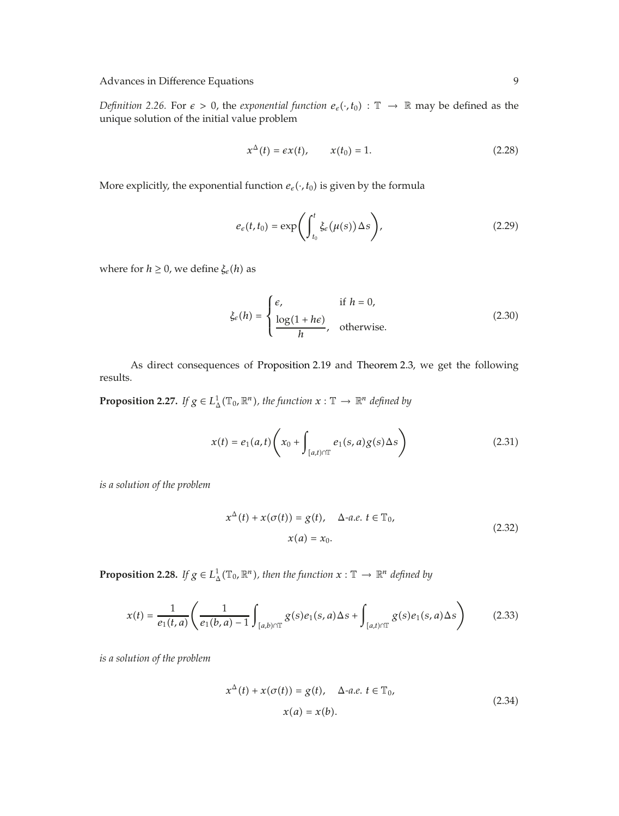*Definition 2.26.* For  $\epsilon > 0$ , the *exponential function*  $e_{\epsilon}(\cdot, t_0)$  :  $\mathbb{T} \to \mathbb{R}$  may be defined as the unique solution of the initial value problem

$$
x^{\Delta}(t) = \epsilon x(t), \qquad x(t_0) = 1. \tag{2.28}
$$

More explicitly, the exponential function  $e_{\epsilon}(\cdot, t_0)$  is given by the formula

$$
e_{\epsilon}(t,t_0) = \exp\left(\int_{t_0}^t \xi_{\epsilon}(\mu(s)) \Delta s\right),\tag{2.29}
$$

where for  $h \geq 0$ , we define  $\xi_e(h)$  as

$$
\xi_{\epsilon}(h) = \begin{cases} \epsilon, & \text{if } h = 0, \\ \frac{\log(1 + h\epsilon)}{h}, & \text{otherwise.} \end{cases}
$$
 (2.30)

As direct consequences of Proposition 2.19 and Theorem 2.3, we get the following results.

**Proposition 2.27.** If  $g \in L^1_\Delta(\mathbb{T}_0, \mathbb{R}^n)$ , the function  $x : \mathbb{T} \to \mathbb{R}^n$  defined by

$$
x(t) = e_1(a,t) \left( x_0 + \int_{[a,t)\cap \mathbb{T}} e_1(s,a) g(s) \Delta s \right)
$$
 (2.31)

*is a solution of the problem*

$$
x^{\Delta}(t) + x(\sigma(t)) = g(t), \quad \Delta \text{-}a.e. \ t \in \mathbb{T}_0,
$$
  

$$
x(a) = x_0.
$$
 (2.32)

**Proposition 2.28.** *If*  $g \in L^1_\Delta(\mathbb{T}_0, \mathbb{R}^n)$ , then the function  $x : \mathbb{T} \to \mathbb{R}^n$  defined by

$$
x(t) = \frac{1}{e_1(t,a)} \left( \frac{1}{e_1(b,a)-1} \int_{[a,b)\cap \mathbb{T}} g(s)e_1(s,a) \Delta s + \int_{[a,b)\cap \mathbb{T}} g(s)e_1(s,a) \Delta s \right) \tag{2.33}
$$

*is a solution of the problem*

$$
x^{\Delta}(t) + x(\sigma(t)) = g(t), \quad \Delta \text{-a.e. } t \in \mathbb{T}_0,
$$
  

$$
x(a) = x(b).
$$
 (2.34)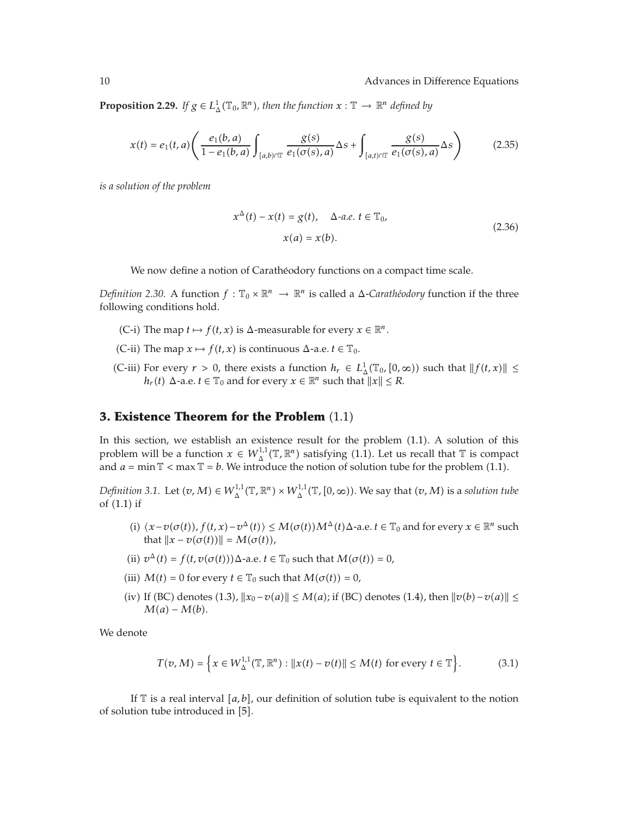**Proposition 2.29.** *If*  $g \in L^1_\Delta(\mathbb{T}_0, \mathbb{R}^n)$ , then the function  $x : \mathbb{T} \to \mathbb{R}^n$  defined by

$$
x(t) = e_1(t, a) \left( \frac{e_1(b, a)}{1 - e_1(b, a)} \int_{[a, b) \cap \mathbb{T}} \frac{g(s)}{e_1(\sigma(s), a)} \Delta s + \int_{[a, t) \cap \mathbb{T}} \frac{g(s)}{e_1(\sigma(s), a)} \Delta s \right) \tag{2.35}
$$

*is a solution of the problem*

$$
x^{\Delta}(t) - x(t) = g(t), \quad \Delta \text{-}a.e. \ t \in \mathbb{T}_0,
$$
  

$$
x(a) = x(b).
$$
 (2.36)

We now define a notion of Carathéodory functions on a compact time scale.

*Definition 2.30.* A function  $f : \mathbb{T}_0 \times \mathbb{R}^n \to \mathbb{R}^n$  is called a  $\Delta$ -*Carathéodory* function if the three following conditions hold.

- (C-i) The map  $t \mapsto f(t, x)$  is  $\Delta$ -measurable for every  $x \in \mathbb{R}^n$ .
- (C-ii) The map  $x \mapsto f(t, x)$  is continuous  $\Delta$ -a.e.  $t \in \mathbb{T}_0$ .
- (C-iii) For every  $r > 0$ , there exists a function  $h_r \in L^1_{\Delta}(\mathbb{T}_0, [0, \infty))$  such that  $||f(t, x)|| \le$ *h<sub>r</sub>*(*t*)  $\Delta$ -a.e. *t*  $\in \mathbb{T}_0$  and for every  $x \in \mathbb{R}^n$  such that  $||x|| \leq R$ .

#### **3. Existence Theorem for the Problem**  $(1.1)$

In this section, we establish an existence result for the problem (1.1). A solution of this problem will be a function  $x \in W_{\Delta}^{1,1}(\mathbb{T}, \mathbb{R}^n)$  satisfying (1.1). Let us recall that  $\mathbb{T}$  is compact and  $a = \min \mathbb{T} < \max \mathbb{T} = b$ . We introduce the notion of solution tube for the problem (1.1).

*Definition 3.1.* Let  $(v, M) \in W_\Delta^{1,1}(\mathbb{T}, \mathbb{R}^n) \times W_\Delta^{1,1}(\mathbb{T}, [0, \infty))$ . We say that  $(v, M)$  is a *solution tube* of  $(1.1)$  if

- $\langle i \rangle \langle x v(\sigma(t)), f(t, x) v^{\Delta}(t) \rangle \le M(\sigma(t))M^{\Delta}(t)\Delta$ -a.e.  $t \in \mathbb{T}_0$  and for every  $x \in \mathbb{R}^n$  such that  $||x - v(\sigma(t))|| = M(\sigma(t)),$
- (ii)  $v^{\Delta}(t) = f(t, v(\sigma(t)))\Delta$ -a.e.  $t \in \mathbb{T}_0$  such that  $M(\sigma(t)) = 0$ ,
- (iii)  $M(t) = 0$  for every  $t \in \mathbb{T}_0$  such that  $M(\sigma(t)) = 0$ ,
- $(iv)$  If (BC) denotes (1.3),  $||x_0 v(a)|| \le M(a)$ ; if (BC) denotes (1.4), then  $||v(b) v(a)|| \le$  $M(a) - M(b)$ .

We denote

$$
T(v, M) = \left\{ x \in W_{\Delta}^{1,1}(\mathbb{T}, \mathbb{R}^n) : ||x(t) - v(t)|| \le M(t) \text{ for every } t \in \mathbb{T} \right\}.
$$
 (3.1)

If  $\mathbb T$  is a real interval  $[a, b]$ , our definition of solution tube is equivalent to the notion of solution tube introduced in [5].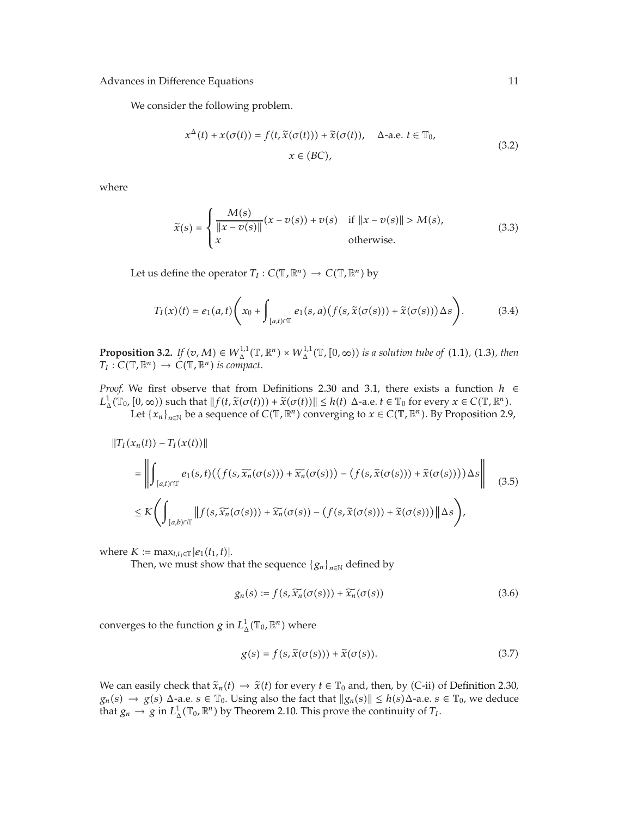We consider the following problem.

$$
x^{\Delta}(t) + x(\sigma(t)) = f(t, \tilde{x}(\sigma(t))) + \tilde{x}(\sigma(t)), \quad \Delta \text{-a.e. } t \in \mathbb{T}_0,
$$
  

$$
x \in (BC),
$$
 (3.2)

where

$$
\tilde{x}(s) = \begin{cases}\n\frac{M(s)}{\|x - v(s)\|}(x - v(s)) + v(s) & \text{if } \|x - v(s)\| > M(s), \\
x & \text{otherwise.} \n\end{cases}
$$
\n(3.3)

Let us define the operator  $T_I : C(\mathbb{T}, \mathbb{R}^n) \to C(\mathbb{T}, \mathbb{R}^n)$  by

$$
T_I(x)(t) = e_1(a,t) \left( x_0 + \int_{[a,t) \cap T} e_1(s,a) \left( f(s, \tilde{x}(\sigma(s))) + \tilde{x}(\sigma(s)) \right) \Delta s \right).
$$
 (3.4)

**Proposition 3.2.** *If*  $(v, M) \in W_\Delta^{1,1}(\mathbb{T}, \mathbb{R}^n) \times W_\Delta^{1,1}(\mathbb{T}, [0, \infty))$  *is a solution tube of* (1.1*)*, (1.3*)*, *then*  $T_I: C(\mathbb{T}, \mathbb{R}^n) \to C(\mathbb{T}, \mathbb{R}^n)$  is compact.

*Proof.* We first observe that from Definitions 2.30 and 3.1, there exists a function *h* ∈  $L^1_\Delta(\mathbb{T}_0, [0, \infty))$  such that  $||f(t, \tilde{x}(\sigma(t))) + \tilde{x}(\sigma(t))|| \leq h(t)$   $\Delta$ -a.e.  $t \in \mathbb{T}_0$  for every  $x \in C(\mathbb{T}, \mathbb{R}^n)$ .<br>Let  $\{x, \cdot\}$  be a sequence of  $C(\mathbb{T}, \mathbb{R}^n)$  converging to  $x \in C(\mathbb{T}, \mathbb{R}^n)$ . By Proposition 2

Let  $\{x_n\}_{n\in\mathbb{N}}$  be a sequence of  $C(\mathbb{T}, \mathbb{R}^n)$  converging to  $x \in C(\mathbb{T}, \mathbb{R}^n)$ . By Proposition 2.9,

$$
\|T_I(x_n(t)) - T_I(x(t))\|
$$
\n
$$
= \left\| \int_{[a,t)\cap T} e_1(s,t) \left( \left( f(s, \widetilde{x_n}(\sigma(s))) + \widetilde{x_n}(\sigma(s)) \right) - \left( f(s, \widetilde{x}(\sigma(s))) + \widetilde{x}(\sigma(s)) \right) \right) \Delta s \right\| \quad (3.5)
$$
\n
$$
\leq K \left( \int_{[a,b)\cap T} \| f(s, \widetilde{x_n}(\sigma(s))) + \widetilde{x_n}(\sigma(s)) - \left( f(s, \widetilde{x}(\sigma(s))) + \widetilde{x}(\sigma(s)) \right) \|\Delta s \right),
$$

 $where *K* := max_{t,t_1 \in \mathbb{T}} |e_1(t_1,t)|.$ 

Then, we must show that the sequence  ${g_n}_{n \in \mathbb{N}}$  defined by

$$
g_n(s) := f(s, \widetilde{x_n}(\sigma(s))) + \widetilde{x_n}(\sigma(s))
$$
\n(3.6)

converges to the function *g* in  $L^1_\Delta(\mathbb{T}_0,\mathbb{R}^n)$  where

$$
g(s) = f(s, \tilde{x}(\sigma(s))) + \tilde{x}(\sigma(s)).
$$
\n(3.7)

We can easily check that  $\tilde{x}_n(t) \to \tilde{x}(t)$  for every  $t \in \mathbb{T}_0$  and, then, by (C-ii) of Definition 2.30,  $g_n(s) \to g(s)$   $\Delta$ -a.e.  $s \in \mathbb{T}_0$ . Using also the fact that  $||g_n(s)|| \leq h(s) \Delta$ -a.e.  $s \in \mathbb{T}_0$ , we deduce that  $g_n \to g$  in  $L^1_\Delta(\mathbb{T}_0, \mathbb{R}^n)$  by Theorem 2.10. This prove the continuity of  $T_I$ .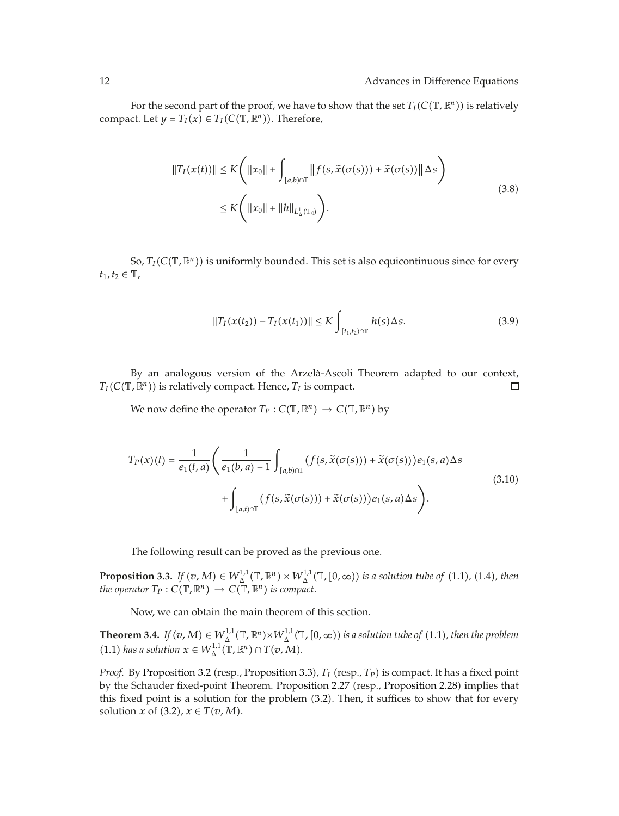For the second part of the proof, we have to show that the set  $T_I(C(\mathbb{T}, \mathbb{R}^n))$  is relatively compact. Let  $y = T_I(x) \in T_I(C(\mathbb{T}, \mathbb{R}^n))$ . Therefore,

$$
||T_I(x(t))|| \le K \left( ||x_0|| + \int_{[a,b)\cap \mathbb{T}} ||f(s, \tilde{x}(\sigma(s))) + \tilde{x}(\sigma(s))|| \Delta s \right)
$$
  
 
$$
\le K \left( ||x_0|| + ||h||_{L^1_{\Delta}(\mathbb{T}_0)} \right).
$$
 (3.8)

So,  $T_I(C(\mathbb{T}, \mathbb{R}^n))$  is uniformly bounded. This set is also equicontinuous since for every  $t_1, t_2 ∈ T$ ,

$$
||T_I(x(t_2)) - T_I(x(t_1))|| \leq K \int_{[t_1, t_2) \cap \mathbb{T}} h(s) \Delta s.
$$
 (3.9)

By an analogous version of the Arzela-Ascoli Theorem adapted to our context, `  $T_I(C(\mathbb{T}, \mathbb{R}^n))$  is relatively compact. Hence,  $T_I$  is compact.  $\Box$ 

We now define the operator  $T_P : C(\mathbb{T}, \mathbb{R}^n) \to C(\mathbb{T}, \mathbb{R}^n)$  by

$$
T_P(x)(t) = \frac{1}{e_1(t,a)} \left( \frac{1}{e_1(b,a) - 1} \int_{[a,b)\cap \mathbb{T}} (f(s, \tilde{x}(\sigma(s))) + \tilde{x}(\sigma(s))) e_1(s,a) \Delta s \right) + \int_{[a,b)\cap \mathbb{T}} (f(s, \tilde{x}(\sigma(s))) + \tilde{x}(\sigma(s))) e_1(s,a) \Delta s \right).
$$
\n(3.10)

The following result can be proved as the previous one.

**Proposition 3.3.** *If*  $(v, M) \in W_\Delta^{1,1}(\mathbb{T}, \mathbb{R}^n) \times W_\Delta^{1,1}(\mathbb{T}, [0, \infty))$  is a solution tube of (1.1), (1.4), then *the operator*  $T_P: C(\mathbb{T}, \mathbb{R}^n) \to C(\mathbb{T}, \mathbb{R}^n)$  *is compact.* 

Now, we can obtain the main theorem of this section.

**Theorem 3.4.** *If*  $(v, M) \in W^{1,1}_{\Delta}(\mathbb{T}, \mathbb{R}^n) \times W^{1,1}_{\Delta}(\mathbb{T}, [0, \infty))$  is a solution tube of (1.1), then the problem  $(1.1)$  *has a solution*  $x \in W_{\Delta}^{1,1}(\mathbb{T}, \mathbb{R}^n) \cap T(v, M)$ *.* 

*Proof.* By Proposition 3.2 (resp., Proposition 3.3),  $T_I$  (resp.,  $T_P$ ) is compact. It has a fixed point by the Schauder fixed-point Theorem. Proposition 2.27 (resp., Proposition 2.28) implies that this fixed point is a solution for the problem  $(3.2)$ . Then, it suffices to show that for every solution *x* of  $(3.2)$ ,  $x \in T(v, M)$ .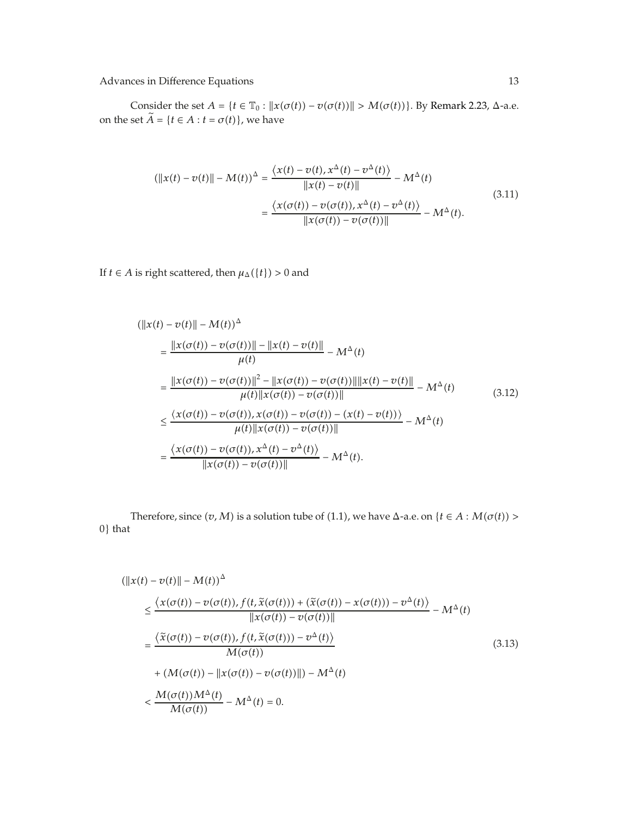Consider the set  $A = \{t \in \mathbb{T}_0 : ||x(\sigma(t)) - v(\sigma(t))|| > M(\sigma(t))\}$ . By Remark 2.23, Δ-a.e. on the set  $\widetilde{A} = \{t \in A : t = \sigma(t)\}\)$ , we have

$$
(\|x(t) - v(t)\| - M(t))^{\Delta} = \frac{\langle x(t) - v(t), x^{\Delta}(t) - v^{\Delta}(t) \rangle}{\|x(t) - v(t)\|} - M^{\Delta}(t)
$$
  

$$
= \frac{\langle x(\sigma(t)) - v(\sigma(t)), x^{\Delta}(t) - v^{\Delta}(t) \rangle}{\|x(\sigma(t)) - v(\sigma(t))\|} - M^{\Delta}(t).
$$
 (3.11)

If *t* ∈ *A* is right scattered, then  $\mu_{\Delta}(\lbrace t \rbrace) > 0$  and

$$
(\|x(t) - v(t)\| - M(t))^{\Delta}
$$
\n
$$
= \frac{\|x(\sigma(t)) - v(\sigma(t))\| - \|x(t) - v(t)\|}{\mu(t)} - M^{\Delta}(t)
$$
\n
$$
= \frac{\|x(\sigma(t)) - v(\sigma(t))\|^2 - \|x(\sigma(t)) - v(\sigma(t))\| \|x(t) - v(t)\|}{\mu(t) \|x(\sigma(t)) - v(\sigma(t))\|} - M^{\Delta}(t)
$$
\n
$$
\leq \frac{\langle x(\sigma(t)) - v(\sigma(t)), x(\sigma(t)) - v(\sigma(t)) - (x(t) - v(t))\rangle}{\mu(t) \|x(\sigma(t)) - v(\sigma(t))\|} - M^{\Delta}(t)
$$
\n
$$
= \frac{\langle x(\sigma(t)) - v(\sigma(t)), x^{\Delta}(t) - v^{\Delta}(t)\rangle}{\|x(\sigma(t)) - v(\sigma(t))\|} - M^{\Delta}(t).
$$
\n(3.12)

Therefore, since  $(v, M)$  is a solution tube of (1.1), we have  $\Delta$ -a.e. on  $\{t \in A : M(\sigma(t)) > \Delta\}$ 0} that

$$
(\|x(t) - v(t)\| - M(t))^{\Delta}
$$
  
\n
$$
\leq \frac{\langle x(\sigma(t)) - v(\sigma(t)), f(t, \tilde{x}(\sigma(t))) + (\tilde{x}(\sigma(t)) - x(\sigma(t))) - v^{\Delta}(t) \rangle}{\|x(\sigma(t)) - v(\sigma(t))\|} - M^{\Delta}(t)
$$
  
\n
$$
= \frac{\langle \tilde{x}(\sigma(t)) - v(\sigma(t)), f(t, \tilde{x}(\sigma(t))) - v^{\Delta}(t) \rangle}{M(\sigma(t))}
$$
  
\n
$$
+ (M(\sigma(t)) - \|x(\sigma(t)) - v(\sigma(t))\|) - M^{\Delta}(t)
$$
  
\n
$$
< \frac{M(\sigma(t))M^{\Delta}(t)}{M(\sigma(t))} - M^{\Delta}(t) = 0.
$$
\n(3.13)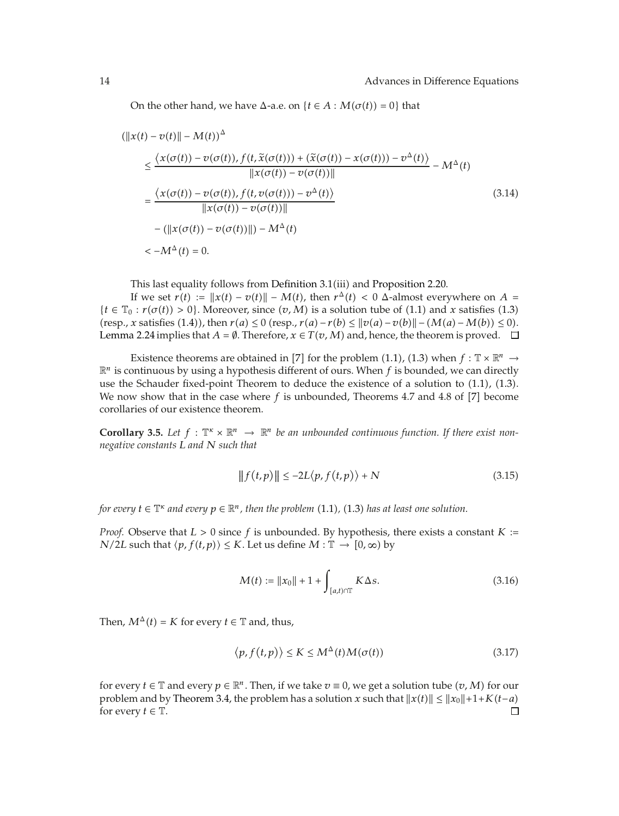On the other hand, we have  $\Delta$ -a.e. on  $\{t \in A : M(\sigma(t)) = 0\}$  that

$$
(\|x(t) - v(t)\| - M(t))^{\Delta}
$$
  
\n
$$
\leq \frac{\langle x(\sigma(t)) - v(\sigma(t)), f(t, \tilde{x}(\sigma(t))) + (\tilde{x}(\sigma(t)) - x(\sigma(t))) - v^{\Delta}(t) \rangle}{\|x(\sigma(t)) - v(\sigma(t))\|}
$$
  
\n
$$
= \frac{\langle x(\sigma(t)) - v(\sigma(t)), f(t, v(\sigma(t))) - v^{\Delta}(t) \rangle}{\|x(\sigma(t)) - v(\sigma(t))\|}
$$
  
\n
$$
- (\|x(\sigma(t)) - v(\sigma(t))\|) - M^{\Delta}(t)
$$
  
\n
$$
< -M^{\Delta}(t) = 0.
$$
\n(3.14)

This last equality follows from Definition 3.1(iii) and Proposition 2.20.

If we set  $r(t) := ||x(t) - v(t)|| - M(t)$ , then  $r^{\Delta}(t) < 0$   $\Delta$ -almost everywhere on  $A =$  ${t \in \mathbb{T}_0 : r(\sigma(t)) > 0}$ . Moreover, since  $(v, M)$  is a solution tube of (1.1) and *x* satisfies (1.3)  $r(\text{resp.}, x \text{ satisfies (1.4)}), \text{ then } r(a) \leq 0 \text{ (resp.}, r(a) - r(b) \leq ||v(a) - v(b)|| - (M(a) - M(b)) \leq 0.$ Lemma 2.24 implies that  $A = \emptyset$ . Therefore,  $x \in T(v, M)$  and, hence, the theorem is proved.  $\Box$ 

Existence theorems are obtained in [7] for the problem (1.1), (1.3) when  $f : \mathbb{T} \times \mathbb{R}^n \to$  $\mathbb{R}^n$  is continuous by using a hypothesis different of ours. When  $f$  is bounded, we can directly use the Schauder fixed-point Theorem to deduce the existence of a solution to  $(1.1)$ ,  $(1.3)$ . We now show that in the case where  $f$  is unbounded, Theorems 4.7 and 4.8 of  $[7]$  become corollaries of our existence theorem.

**Corollary 3.5.** Let  $f : \mathbb{T}^k \times \mathbb{R}^n \to \mathbb{R}^n$  be an unbounded continuous function. If there exist non*negative constants L and N such that*

$$
|| f(t,p)|| \le -2L \langle p, f(t,p) \rangle + N \tag{3.15}
$$

*for every*  $t \in \mathbb{T}^\kappa$  and every  $p \in \mathbb{R}^n$  , then the problem  $(1.1)$ ,  $(1.3)$  has at least one solution.

*Proof.* Observe that *L >* 0 since *f* is unbounded. By hypothesis, there exists a constant *K* : *N/2L* such that  $\langle p, f(t,p) \rangle \leq K$ . Let us define  $M : \mathbb{T} \to [0, \infty)$  by

$$
M(t) := \|x_0\| + 1 + \int_{[a,t)\cap T} K \Delta s.
$$
 (3.16)

Then,  $M^{\Delta}(t) = K$  for every  $t \in \mathbb{T}$  and, thus,

$$
\langle p, f(t, p) \rangle \le K \le M^{\Delta}(t) M(\sigma(t)) \tag{3.17}
$$

for every  $t \in \mathbb{T}$  and every  $p \in \mathbb{R}^n$ . Then, if we take  $v \equiv 0$ , we get a solution tube  $(v, M)$  for our problem and by Theorem 3.4, the problem has a solution *x* such that  $||x(t)|| \le ||x_0|| + 1 + K(t - a)$  for every  $t \in \mathbb{T}$ . for every  $t \in \mathbb{T}$ .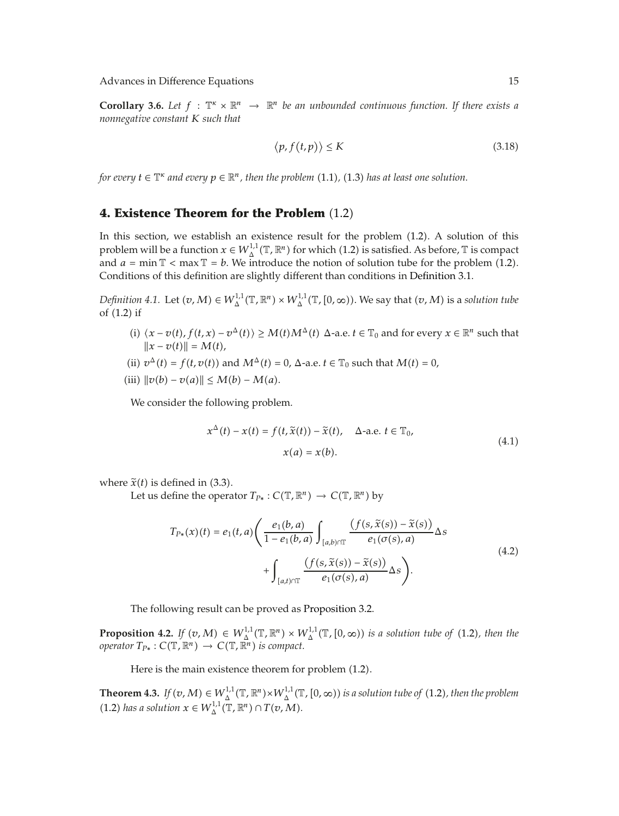**Corollary 3.6.** Let  $f : \mathbb{T}^k \times \mathbb{R}^n \to \mathbb{R}^n$  be an unbounded continuous function. If there exists a *nonnegative constant K such that*

$$
\langle p, f(t, p) \rangle \le K \tag{3.18}
$$

*for every*  $t \in \mathbb{T}^\kappa$  and every  $p \in \mathbb{R}^n$  , then the problem  $(1.1)$ ,  $(1.3)$  has at least one solution.

#### **4. Existence Theorem for the Problem**  $(1.2)$

In this section, we establish an existence result for the problem 1.2. A solution of this problem will be a function  $x \in W^{1,1}_\Delta(\mathbb{T}, \mathbb{R}^n)$  for which (1.2) is satisfied. As before,  $\mathbb T$  is compact and  $a = \min \mathbb{T} < \max \mathbb{T} = b$ . We introduce the notion of solution tube for the problem (1.2). Conditions of this definition are slightly different than conditions in Definition 3.1.

*Definition 4.1.* Let  $(v, M) \in W_\Delta^{1,1}(\mathbb{T}, \mathbb{R}^n) \times W_\Delta^{1,1}(\mathbb{T}, [0, \infty))$ . We say that  $(v, M)$  is a *solution tube* of  $(1.2)$  if

- *(i)*  $\langle x v(t), f(t, x) v^{\Delta}(t) \rangle \ge M(t)M^{\Delta}(t)$  ∆-a.e.  $t \in \mathbb{T}_0$  and for every  $x \in \mathbb{R}^n$  such that  $||x - v(t)|| = M(t),$
- (ii)  $v^{\Delta}(t) = f(t, v(t))$  and  $M^{\Delta}(t) = 0$ ,  $\Delta$ -a.e.  $t \in \mathbb{T}_0$  such that  $M(t) = 0$ ,
- $(iii)$   $\|v(b) v(a)\| \le M(b) M(a).$

We consider the following problem.

$$
x^{\Delta}(t) - x(t) = f(t, \tilde{x}(t)) - \tilde{x}(t), \quad \Delta \text{-a.e. } t \in \mathbb{T}_0,
$$
  

$$
x(a) = x(b).
$$
 (4.1)

where  $\tilde{x}(t)$  is defined in (3.3).

Let us define the operator  $T_{P*}: C(\mathbb{T}, \mathbb{R}^n) \to C(\mathbb{T}, \mathbb{R}^n)$  by

$$
T_{P*}(x)(t) = e_1(t, a) \left( \frac{e_1(b, a)}{1 - e_1(b, a)} \int_{[a, b) \cap \mathbb{T}} \frac{\left( f(s, \tilde{x}(s)) - \tilde{x}(s) \right)}{e_1(\sigma(s), a)} \Delta s + \int_{[a, t) \cap \mathbb{T}} \frac{\left( f(s, \tilde{x}(s)) - \tilde{x}(s) \right)}{e_1(\sigma(s), a)} \Delta s \right).
$$
\n(4.2)

The following result can be proved as Proposition 3.2.

**Proposition 4.2.** *If*  $(v, M) \in W^{1,1}_{\Delta}(\mathbb{T}, \mathbb{R}^n) \times W^{1,1}_{\Delta}(\mathbb{T}, [0, \infty))$  is a solution tube of (1.2), then the  $operator T_{P*}: C(\mathbb{T}, \mathbb{R}^n) \rightarrow C(\mathbb{T}, \mathbb{R}^n)$  is compact.

Here is the main existence theorem for problem  $(1.2)$ .

**Theorem 4.3.** *If*  $(v, M) \in W_{\Delta}^{1,1}(\mathbb{T}, \mathbb{R}^n) \times W_{\Delta}^{1,1}(\mathbb{T}, [0, \infty))$  is a solution tube of (1.2), then the problem  $(1.2)$  *has a solution*  $x \in W_{\Delta}^{1,1}(\mathbb{T}, \mathbb{R}^n) \cap T(v, M)$ *.*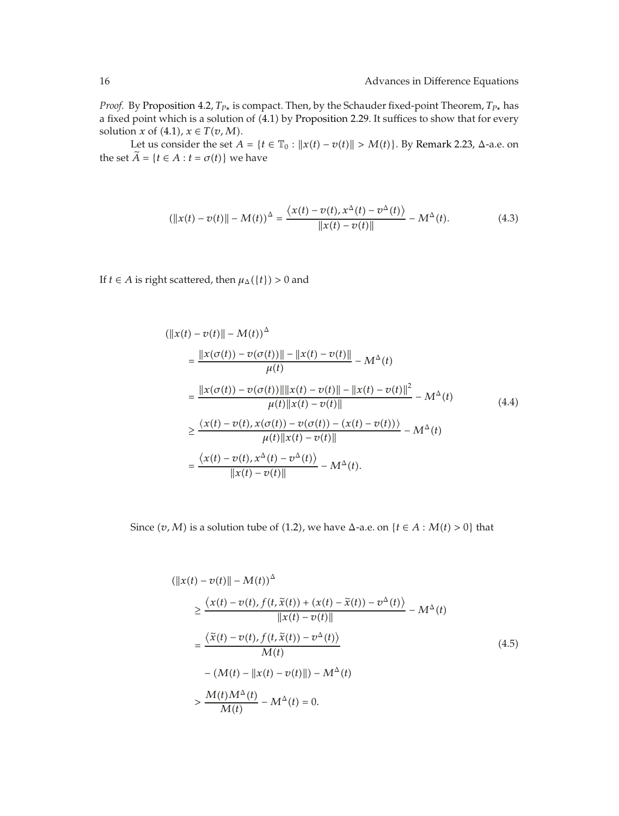*Proof.* By Proposition 4.2,  $T_{P*}$  is compact. Then, by the Schauder fixed-point Theorem,  $T_{P*}$  has a fixed point which is a solution of (4.1) by Proposition 2.29. It suffices to show that for every solution *x* of  $(4.1)$ ,  $x \in T(v, M)$ .

Let us consider the set  $A = \{t \in \mathbb{T}_0 : ||x(t) - v(t)|| > M(t)\}$ . By Remark 2.23, Δ-a.e. on the set  $\tilde{A} = \{t \in A : t = \sigma(t)\}$  we have

$$
(\|x(t) - v(t)\| - M(t))^{\Delta} = \frac{\langle x(t) - v(t), x^{\Delta}(t) - v^{\Delta}(t) \rangle}{\|x(t) - v(t)\|} - M^{\Delta}(t). \tag{4.3}
$$

If *t*  $\in$  *A* is right scattered, then  $\mu_{\Delta}(\{t\})$  > 0 and

$$
(\|x(t) - v(t)\| - M(t))^{\Delta}
$$
\n
$$
= \frac{\|x(\sigma(t)) - v(\sigma(t))\| - \|x(t) - v(t)\|}{\mu(t)} - M^{\Delta}(t)
$$
\n
$$
= \frac{\|x(\sigma(t)) - v(\sigma(t))\| \|x(t) - v(t)\| - \|x(t) - v(t)\|^2}{\mu(t) \|x(t) - v(t)\|} - M^{\Delta}(t)
$$
\n
$$
\geq \frac{\langle x(t) - v(t), x(\sigma(t)) - v(\sigma(t)) - (x(t) - v(t))\rangle}{\mu(t) \|x(t) - v(t)\|} - M^{\Delta}(t)
$$
\n
$$
= \frac{\langle x(t) - v(t), x^{\Delta}(t) - v^{\Delta}(t)\rangle}{\|x(t) - v(t)\|} - M^{\Delta}(t).
$$
\n(4.4)

Since  $(v, M)$  is a solution tube of (1.2), we have  $\Delta$ -a.e. on  $\{t \in A : M(t) > 0\}$  that

$$
(\|x(t) - v(t)\| - M(t))^{\Delta}
$$
  
\n
$$
\geq \frac{\langle x(t) - v(t), f(t, \tilde{x}(t)) + (x(t) - \tilde{x}(t)) - v^{\Delta}(t) \rangle}{\|x(t) - v(t)\|} - M^{\Delta}(t)
$$
  
\n
$$
= \frac{\langle \tilde{x}(t) - v(t), f(t, \tilde{x}(t)) - v^{\Delta}(t) \rangle}{M(t)}
$$
  
\n
$$
- (M(t) - \|x(t) - v(t)\|) - M^{\Delta}(t)
$$
  
\n
$$
> \frac{M(t)M^{\Delta}(t)}{M(t)} - M^{\Delta}(t) = 0.
$$
\n(4.5)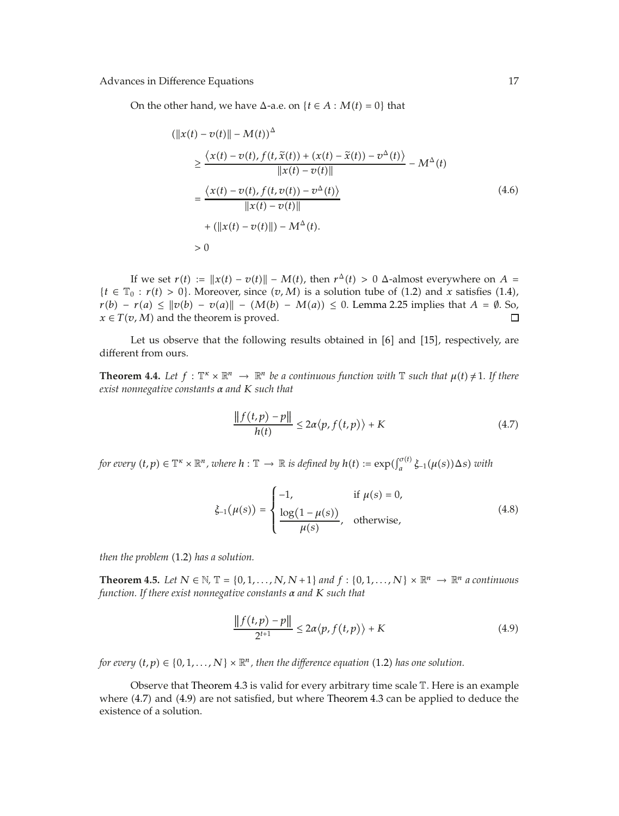On the other hand, we have  $\Delta$ -a.e. on  $\{t \in A : M(t) = 0\}$  that

$$
(\|x(t) - v(t)\| - M(t))^{\Delta}
$$
\n
$$
\geq \frac{\langle x(t) - v(t), f(t, \tilde{x}(t)) + (x(t) - \tilde{x}(t)) - v^{\Delta}(t) \rangle}{\|x(t) - v(t)\|} - M^{\Delta}(t)
$$
\n
$$
= \frac{\langle x(t) - v(t), f(t, v(t)) - v^{\Delta}(t) \rangle}{\|x(t) - v(t)\|}
$$
\n
$$
+ (\|x(t) - v(t)\|) - M^{\Delta}(t).
$$
\n
$$
> 0
$$
\n(4.6)

If we set  $r(t) := ||x(t) - v(t)|| - M(t)$ , then  $r^{\Delta}(t) > 0$   $\Delta$ -almost everywhere on  $A =$  ${t \in \mathbb{T}_0 : r(t) > 0}$ . Moreover, since  $(v, M)$  is a solution tube of (1.2) and *x* satisfies (1.4), *r*(*b*) − *r*(*a*) ≤  $||v(b) - v(a)|| - (M(b) - M(a)) \le 0$ . Lemma 2.25 implies that *A* =  $\emptyset$ . So,  $x \in T(v, M)$  and the theorem is proved.  $x \in T(v, M)$  and the theorem is proved.

Let us observe that the following results obtained in  $[6]$  and  $[15]$ , respectively, are different from ours.

**Theorem 4.4.** Let  $f: \mathbb{T}^k \times \mathbb{R}^n \to \mathbb{R}^n$  be a continuous function with  $\mathbb{T}$  such that  $\mu(t) \neq 1$ . If there *exist nonnegative constants α and K such that*

$$
\frac{\|f(t,p) - p\|}{h(t)} \le 2\alpha \langle p, f(t,p) \rangle + K \tag{4.7}
$$

*for every*  $(t, p) \in \mathbb{T}^\kappa \times \mathbb{R}^n$ , where  $h: \mathbb{T} \to \mathbb{R}$  is defined by  $h(t) := \exp(\int_a^{\sigma(t)} \xi_{-1}(\mu(s)) \Delta s)$  with

$$
\xi_{-1}(\mu(s)) = \begin{cases}\n-1, & \text{if } \mu(s) = 0, \\
\frac{\log(1 - \mu(s))}{\mu(s)}, & \text{otherwise,} \n\end{cases}
$$
\n(4.8)

*then the problem* (1.2) *has a solution.* 

**Theorem 4.5.** Let  $N \in \mathbb{N}$ ,  $\mathbb{T} = \{0, 1, \ldots, N, N+1\}$  and  $f : \{0, 1, \ldots, N\} \times \mathbb{R}^n \to \mathbb{R}^n$  a continuous *function. If there exist nonnegative constants α and K such that*

$$
\frac{\|f(t,p)-p\|}{2^{t+1}} \le 2\alpha \langle p, f(t,p) \rangle + K \tag{4.9}
$$

*for every*  $(t, p) \in \{0, 1, \ldots, N\} \times \mathbb{R}^n$ , then the difference equation (1.2) has one solution.

Observe that Theorem 4.3 is valid for every arbitrary time scale  $\mathbb T$ . Here is an example where (4.7) and (4.9) are not satisfied, but where Theorem 4.3 can be applied to deduce the existence of a solution.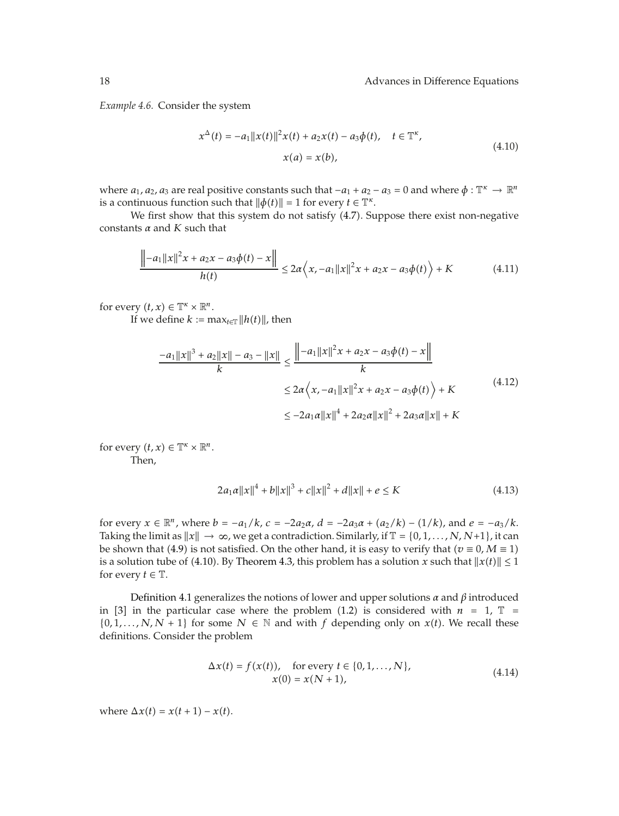*Example 4.6.* Consider the system

$$
x^{\Delta}(t) = -a_1 ||x(t)||^2 x(t) + a_2 x(t) - a_3 \phi(t), \quad t \in \mathbb{T}^{\kappa},
$$
  
\n
$$
x(a) = x(b),
$$
\n(4.10)

where  $a_1$ ,  $a_2$ ,  $a_3$  are real positive constants such that  $-a_1 + a_2 - a_3 = 0$  and where  $\phi: \mathbb{T}^k \to \mathbb{R}^n$ is a continuous function such that  $\|\phi(t)\| = 1$  for every  $t \in \mathbb{T}^{\kappa}$ .

We first show that this system do not satisfy (4.7). Suppose there exist non-negative constants *α* and *K* such that

$$
\frac{\left||-a_1||x||^2x + a_2x - a_3\phi(t) - x\right||}{h(t)} \le 2a\left(x, -a_1||x||^2x + a_2x - a_3\phi(t)\right) + K \tag{4.11}
$$

for every  $(t, x) \in \mathbb{T}^{\kappa} \times \mathbb{R}^{n}$ .

If we define  $k := \max_{t \in \mathbb{T}} ||h(t)||$ , then

$$
\frac{-a_1||x||^3 + a_2||x|| - a_3 - ||x||}{k} \le \frac{||-a_1||x||^2x + a_2x - a_3\phi(t) - x||}{k}
$$
  

$$
\le 2a\left\langle x, -a_1||x||^2x + a_2x - a_3\phi(t)\right\rangle + K
$$
  

$$
\le -2a_1a||x||^4 + 2a_2a||x||^2 + 2a_3a||x|| + K
$$
 (4.12)

for every  $(t, x) \in \mathbb{T}^{\kappa} \times \mathbb{R}^{n}$ . Then,

$$
2a_1\alpha||x||^4 + b||x||^3 + c||x||^2 + d||x|| + e \le K
$$
\n(4.13)

for every  $x \in \mathbb{R}^n$ , where  $b = -a_1/k$ ,  $c = -2a_2\alpha$ ,  $d = -2a_3\alpha + (a_2/k) - (1/k)$ , and  $e = -a_3/k$ . Taking the limit as  $||x|| \to \infty$ , we get a contradiction. Similarly, if  $\mathbb{T} = \{0, 1, ..., N, N+1\}$ , it can be shown that (4.9) is not satisfied. On the other hand, it is easy to verify that  $(v \equiv 0, M \equiv 1)$ is a solution tube of (4.10). By Theorem 4.3, this problem has a solution *x* such that  $||x(t)|| \le 1$ for every  $t \in \mathbb{T}$ .

Definition 4.1 generalizes the notions of lower and upper solutions *α* and *β* introduced in [3] in the particular case where the problem (1.2) is considered with  $n = 1$ ,  $\mathbb{T} =$  $\{0, 1, \ldots, N, N + 1\}$  for some  $N \in \mathbb{N}$  and with *f* depending only on *x*(*t*). We recall these definitions. Consider the problem

$$
\Delta x(t) = f(x(t)), \quad \text{for every } t \in \{0, 1, ..., N\},
$$
  
 
$$
x(0) = x(N + 1),
$$
 (4.14)

where  $\Delta x(t) = x(t+1) - x(t)$ .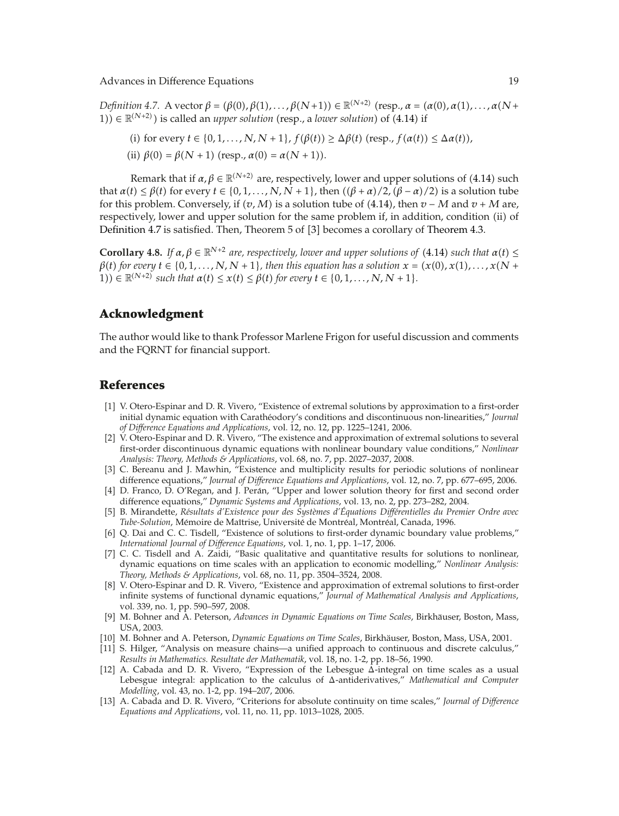$Definition$  4.7. A vector  $\beta = (\beta(0), \beta(1), \ldots, \beta(N+1)) \in \mathbb{R}^{(N+2)}$  (resp.,  $\alpha = (\alpha(0), \alpha(1), \ldots, \alpha(N+1))$ ) 1)) ∈  $\mathbb{R}^{(N+2)}$ ) is called an *upper solution* (resp., a *lower solution*) of (4.14) if

- (i) for every  $t \in \{0, 1, \ldots, N, N + 1\}$ ,  $f(\beta(t)) \ge \Delta \beta(t)$  (resp.,  $f(\alpha(t)) \le \Delta \alpha(t)$ ),
- (ii)  $\beta(0) = \beta(N + 1)$  (resp.,  $\alpha(0) = \alpha(N + 1)$ ).

Remark that if  $\alpha, \beta \in \mathbb{R}^{(N+2)}$  are, respectively, lower and upper solutions of (4.14) such *that*  $α(t) ≤ β(t)$  for every  $t ∈ {0, 1, ..., N, N + 1}$ , then  $((β + α)/2, (β − α)/2)$  is a solution tube for this problem. Conversely, if  $(v, M)$  is a solution tube of (4.14), then  $v - M$  and  $v + M$  are, respectively, lower and upper solution for the same problem if, in addition, condition (ii) of Definition 4.7 is satisfied. Then, Theorem 5 of  $[3]$  becomes a corollary of Theorem 4.3.

**Corollary 4.8.** *If*  $\alpha, \beta \in \mathbb{R}^{N+2}$  are, respectively, lower and upper solutions of (4.14) such that  $\alpha(t) \leq$  $\beta$ <sup>*t*</sup>) for every  $t \in \{0, 1, \ldots, N, N + 1\}$ , then this equation has a solution  $x = (x(0), x(1), \ldots, x(N + 1)\}$  $(1)$ )  $\in \mathbb{R}^{(N+2)}$  such that  $\alpha(t) \leq x(t) \leq \beta(t)$  for every  $t \in \{0, 1, ..., N, N+1\}.$ 

## **Acknowledgment**

The author would like to thank Professor Marlene Frigon for useful discussion and comments and the FQRNT for financial support.

### **References**

- 1 V. Otero-Espinar and D. R. Vivero, "Existence of extremal solutions by approximation to a first-order initial dynamic equation with Caratheodory's conditions and discontinuous non-linearities," ´ *Journal of Difference Equations and Applications*, vol. 12, no. 12, pp. 1225–1241, 2006.
- 2 V. Otero-Espinar and D. R. Vivero, "The existence and approximation of extremal solutions to several first-order discontinuous dynamic equations with nonlinear boundary value conditions," *Nonlinear Analysis: Theory, Methods & Applications*, vol. 68, no. 7, pp. 2027–2037, 2008.
- [3] C. Bereanu and J. Mawhin, "Existence and multiplicity results for periodic solutions of nonlinear difference equations," *Journal of Difference Equations and Applications*, vol. 12, no. 7, pp. 677–695, 2006.
- [4] D. Franco, D. O'Regan, and J. Perán, "Upper and lower solution theory for first and second order difference equations," *Dynamic Systems and Applications*, vol. 13, no. 2, pp. 273–282, 2004.
- 5 B. Mirandette, *Resultats d'Existence pour des Syst ´ emes d' ` Equations Di ´ fferentielles du Premier Ordre avec ´ Tube-Solution*, Mémoire de Maîtrise, Université de Montréal, Montréal, Canada, 1996.
- [6] Q. Dai and C. C. Tisdell, "Existence of solutions to first-order dynamic boundary value problems," *International Journal of Difference Equations*, vol. 1, no. 1, pp. 1–17, 2006.
- 7 C. C. Tisdell and A. Zaidi, "Basic qualitative and quantitative results for solutions to nonlinear, dynamic equations on time scales with an application to economic modelling," *Nonlinear Analysis: Theory, Methods & Applications*, vol. 68, no. 11, pp. 3504–3524, 2008.
- [8] V. Otero-Espinar and D. R. Vivero, "Existence and approximation of extremal solutions to first-order infinite systems of functional dynamic equations," *Journal of Mathematical Analysis and Applications*, vol. 339, no. 1, pp. 590–597, 2008.
- 9 M. Bohner and A. Peterson, *Advances in Dynamic Equations on Time Scales*, Birkhauser, Boston, Mass, ¨ USA, 2003.
- 10 M. Bohner and A. Peterson, *Dynamic Equations on Time Scales*, Birkhauser, Boston, Mass, USA, 2001. ¨
- [11] S. Hilger, "Analysis on measure chains—a unified approach to continuous and discrete calculus," *Results in Mathematics. Resultate der Mathematik*, vol. 18, no. 1-2, pp. 18–56, 1990.
- [12] A. Cabada and D. R. Vivero, "Expression of the Lebesgue  $\overline{\Delta}$ -integral on time scales as a usual Lebesgue integral: application to the calculus of Δ-antiderivatives," *Mathematical and Computer Modelling*, vol. 43, no. 1-2, pp. 194–207, 2006.
- 13 A. Cabada and D. R. Vivero, "Criterions for absolute continuity on time scales," *Journal of Difference Equations and Applications*, vol. 11, no. 11, pp. 1013–1028, 2005.